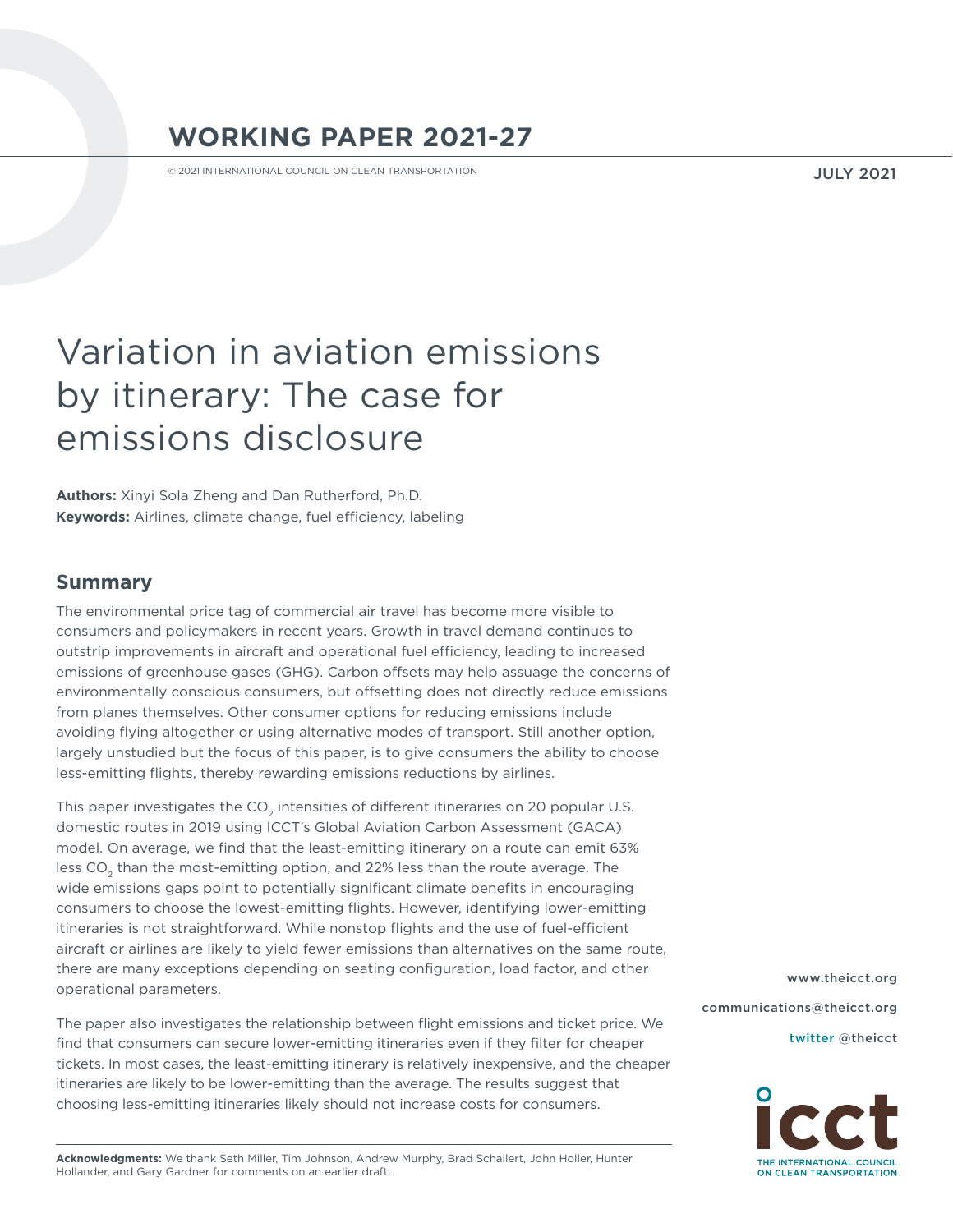# **WORKING PAPER 2021-27**

© 2021 INTERNATIONAL COUNCIL ON CLEAN TRANSPORTATION

JULY 2021

# Variation in aviation emissions by itinerary: The case for emissions disclosure

**Authors:** Xinyi Sola Zheng and Dan Rutherford, Ph.D. **Keywords:** Airlines, climate change, fuel efficiency, labeling

#### **Summary**

The environmental price tag of commercial air travel has become more visible to consumers and policymakers in recent years. Growth in travel demand continues to outstrip improvements in aircraft and operational fuel efficiency, leading to increased emissions of greenhouse gases (GHG). Carbon offsets may help assuage the concerns of environmentally conscious consumers, but offsetting does not directly reduce emissions from planes themselves. Other consumer options for reducing emissions include avoiding flying altogether or using alternative modes of transport. Still another option, largely unstudied but the focus of this paper, is to give consumers the ability to choose less-emitting flights, thereby rewarding emissions reductions by airlines.

This paper investigates the CO<sub>2</sub> intensities of different itineraries on 20 popular U.S. domestic routes in 2019 using ICCT's Global Aviation Carbon Assessment (GACA) model. On average, we find that the least-emitting itinerary on a route can emit 63% less CO<sub>2</sub> than the most-emitting option, and 22% less than the route average. The wide emissions gaps point to potentially significant climate benefits in encouraging consumers to choose the lowest-emitting flights. However, identifying lower-emitting itineraries is not straightforward. While nonstop flights and the use of fuel-efficient aircraft or airlines are likely to yield fewer emissions than alternatives on the same route, there are many exceptions depending on seating configuration, load factor, and other operational parameters.

The paper also investigates the relationship between flight emissions and ticket price. We find that consumers can secure lower-emitting itineraries even if they filter for cheaper tickets. In most cases, the least-emitting itinerary is relatively inexpensive, and the cheaper itineraries are likely to be lower-emitting than the average. The results suggest that choosing less-emitting itineraries likely should not increase costs for consumers.

**Acknowledgments:** We thank Seth Miller, Tim Johnson, Andrew Murphy, Brad Schallert, John Holler, Hunter Hollander, and Gary Gardner for comments on an earlier draft.

[www.theicct.org](http://www.theicct.org) [communications@theicct.org](mailto:communications%40theicct.org%20%20%20%20?subject=)  [twitter @theicct](http://twitter.com/theicct)

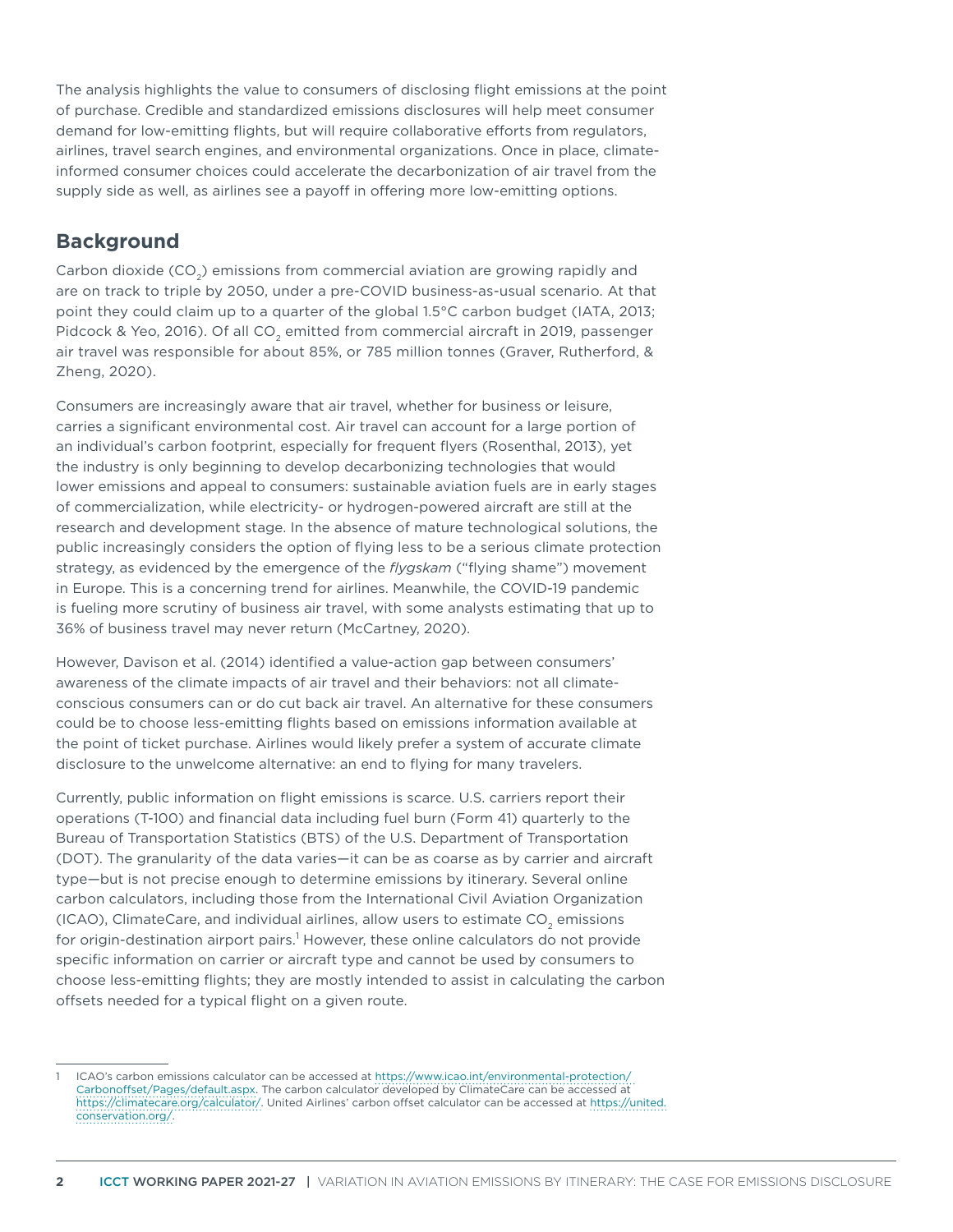The analysis highlights the value to consumers of disclosing flight emissions at the point of purchase. Credible and standardized emissions disclosures will help meet consumer demand for low-emitting flights, but will require collaborative efforts from regulators, airlines, travel search engines, and environmental organizations. Once in place, climateinformed consumer choices could accelerate the decarbonization of air travel from the supply side as well, as airlines see a payoff in offering more low-emitting options.

# **Background**

Carbon dioxide ( $CO<sub>2</sub>$ ) emissions from commercial aviation are growing rapidly and are on track to triple by 2050, under a pre-COVID business-as-usual scenario. At that point they could claim up to a quarter of the global 1.5°C carbon budget (IATA, 2013; Pidcock & Yeo, 2016). Of all CO<sub>2</sub> emitted from commercial aircraft in 2019, passenger air travel was responsible for about 85%, or 785 million tonnes (Graver, Rutherford, & Zheng, 2020).

Consumers are increasingly aware that air travel, whether for business or leisure, carries a significant environmental cost. Air travel can account for a large portion of an individual's carbon footprint, especially for frequent flyers (Rosenthal, 2013), yet the industry is only beginning to develop decarbonizing technologies that would lower emissions and appeal to consumers: sustainable aviation fuels are in early stages of commercialization, while electricity- or hydrogen-powered aircraft are still at the research and development stage. In the absence of mature technological solutions, the public increasingly considers the option of flying less to be a serious climate protection strategy, as evidenced by the emergence of the *flygskam* ("flying shame") movement in Europe. This is a concerning trend for airlines. Meanwhile, the COVID-19 pandemic is fueling more scrutiny of business air travel, with some analysts estimating that up to 36% of business travel may never return (McCartney, 2020).

However, Davison et al. (2014) identified a value-action gap between consumers' awareness of the climate impacts of air travel and their behaviors: not all climateconscious consumers can or do cut back air travel. An alternative for these consumers could be to choose less-emitting flights based on emissions information available at the point of ticket purchase. Airlines would likely prefer a system of accurate climate disclosure to the unwelcome alternative: an end to flying for many travelers.

Currently, public information on flight emissions is scarce. U.S. carriers report their operations (T-100) and financial data including fuel burn (Form 41) quarterly to the Bureau of Transportation Statistics (BTS) of the U.S. Department of Transportation (DOT). The granularity of the data varies—it can be as coarse as by carrier and aircraft type—but is not precise enough to determine emissions by itinerary. Several online carbon calculators, including those from the International Civil Aviation Organization (ICAO), ClimateCare, and individual airlines, allow users to estimate CO<sub>2</sub> emissions for origin-destination airport pairs.<sup>1</sup> However, these online calculators do not provide specific information on carrier or aircraft type and cannot be used by consumers to choose less-emitting flights; they are mostly intended to assist in calculating the carbon offsets needed for a typical flight on a given route.

<sup>1</sup> ICAO's carbon emissions calculator can be accessed at [https://www.icao.int/environmental-protection/](https://www.icao.int/environmental-protection/ Carbonoffset/Pages/default.aspx)  [Carbonoffset/Pages/default.aspx](https://www.icao.int/environmental-protection/ Carbonoffset/Pages/default.aspx). The carbon calculator developed by ClimateCare can be accessed at [https://climatecare.org/calculator/.](https://climatecare.org/calculator/) United Airlines' carbon offset calculator can be accessed at [https://united.](https://united.conservation.org/) [conservation.org/.](https://united.conservation.org/)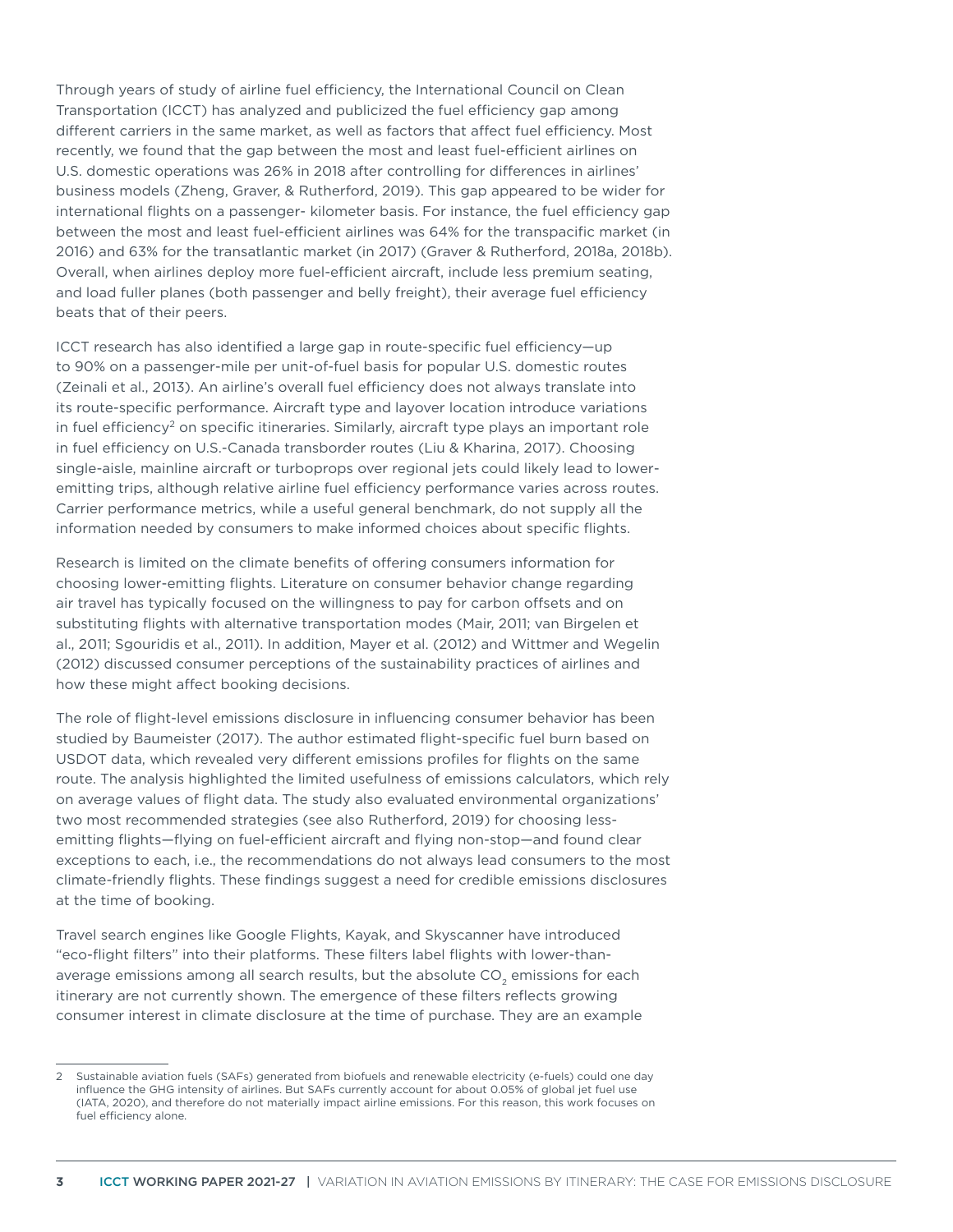Through years of study of airline fuel efficiency, the International Council on Clean Transportation (ICCT) has analyzed and publicized the fuel efficiency gap among different carriers in the same market, as well as factors that affect fuel efficiency. Most recently, we found that the gap between the most and least fuel-efficient airlines on U.S. domestic operations was 26% in 2018 after controlling for differences in airlines' business models (Zheng, Graver, & Rutherford, 2019). This gap appeared to be wider for international flights on a passenger- kilometer basis. For instance, the fuel efficiency gap between the most and least fuel-efficient airlines was 64% for the transpacific market (in 2016) and 63% for the transatlantic market (in 2017) (Graver & Rutherford, 2018a, 2018b). Overall, when airlines deploy more fuel-efficient aircraft, include less premium seating, and load fuller planes (both passenger and belly freight), their average fuel efficiency beats that of their peers.

ICCT research has also identified a large gap in route-specific fuel efficiency—up to 90% on a passenger-mile per unit-of-fuel basis for popular U.S. domestic routes (Zeinali et al., 2013). An airline's overall fuel efficiency does not always translate into its route-specific performance. Aircraft type and layover location introduce variations in fuel efficiency<sup>2</sup> on specific itineraries. Similarly, aircraft type plays an important role in fuel efficiency on U.S.-Canada transborder routes (Liu & Kharina, 2017). Choosing single-aisle, mainline aircraft or turboprops over regional jets could likely lead to loweremitting trips, although relative airline fuel efficiency performance varies across routes. Carrier performance metrics, while a useful general benchmark, do not supply all the information needed by consumers to make informed choices about specific flights.

Research is limited on the climate benefits of offering consumers information for choosing lower-emitting flights. Literature on consumer behavior change regarding air travel has typically focused on the willingness to pay for carbon offsets and on substituting flights with alternative transportation modes (Mair, 2011; van Birgelen et al., 2011; Sgouridis et al., 2011). In addition, Mayer et al. (2012) and Wittmer and Wegelin (2012) discussed consumer perceptions of the sustainability practices of airlines and how these might affect booking decisions.

The role of flight-level emissions disclosure in influencing consumer behavior has been studied by Baumeister (2017). The author estimated flight-specific fuel burn based on USDOT data, which revealed very different emissions profiles for flights on the same route. The analysis highlighted the limited usefulness of emissions calculators, which rely on average values of flight data. The study also evaluated environmental organizations' two most recommended strategies (see also Rutherford, 2019) for choosing lessemitting flights—flying on fuel-efficient aircraft and flying non-stop—and found clear exceptions to each, i.e., the recommendations do not always lead consumers to the most climate-friendly flights. These findings suggest a need for credible emissions disclosures at the time of booking.

Travel search engines like Google Flights, Kayak, and Skyscanner have introduced "eco-flight filters" into their platforms. These filters label flights with lower-thanaverage emissions among all search results, but the absolute CO<sub>2</sub> emissions for each itinerary are not currently shown. The emergence of these filters reflects growing consumer interest in climate disclosure at the time of purchase. They are an example

<sup>2</sup> Sustainable aviation fuels (SAFs) generated from biofuels and renewable electricity (e-fuels) could one day influence the GHG intensity of airlines. But SAFs currently account for about 0.05% of global jet fuel use (IATA, 2020), and therefore do not materially impact airline emissions. For this reason, this work focuses on fuel efficiency alone.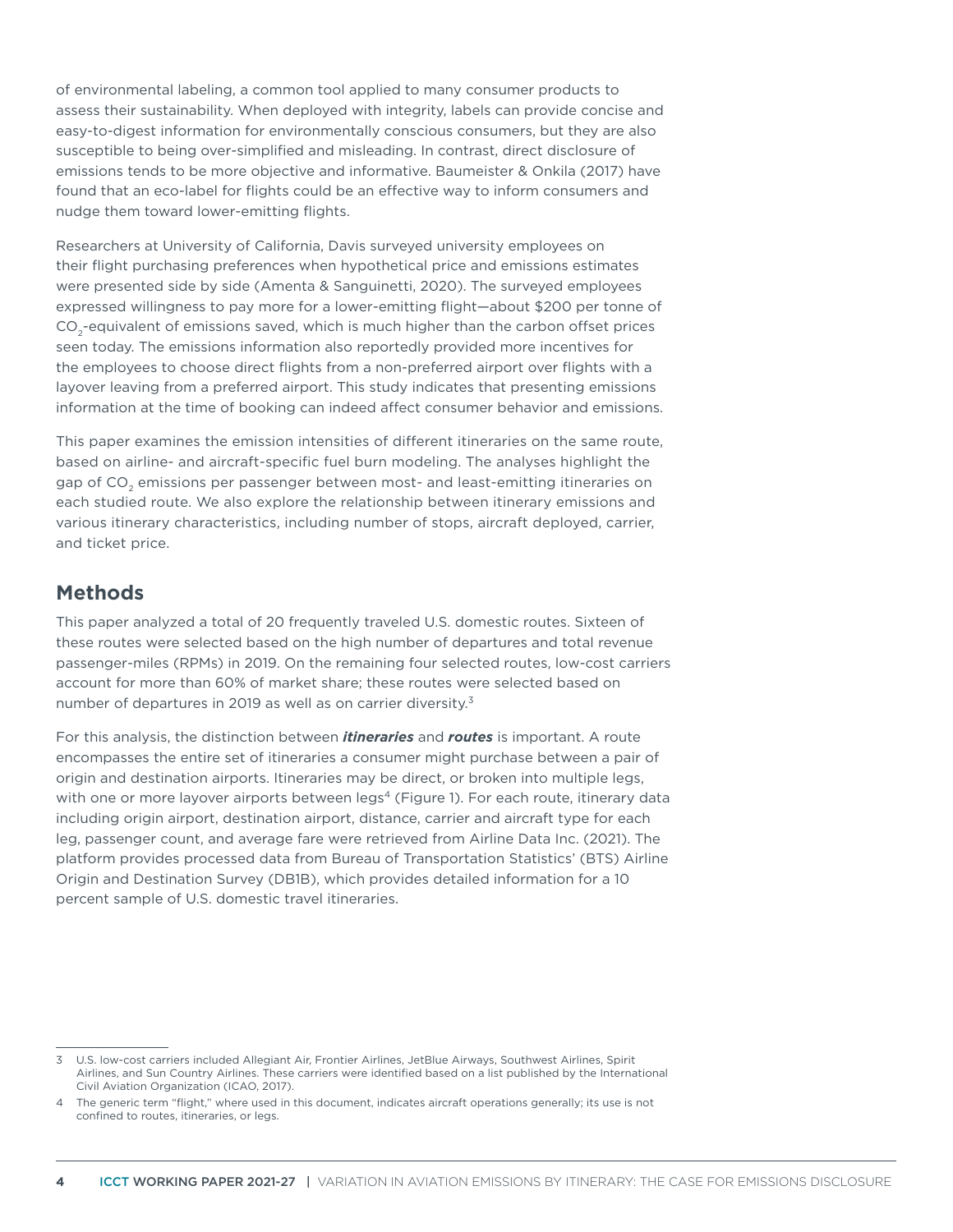of environmental labeling, a common tool applied to many consumer products to assess their sustainability. When deployed with integrity, labels can provide concise and easy-to-digest information for environmentally conscious consumers, but they are also susceptible to being over-simplified and misleading. In contrast, direct disclosure of emissions tends to be more objective and informative. Baumeister & Onkila (2017) have found that an eco-label for flights could be an effective way to inform consumers and nudge them toward lower-emitting flights.

Researchers at University of California, Davis surveyed university employees on their flight purchasing preferences when hypothetical price and emissions estimates were presented side by side (Amenta & Sanguinetti, 2020). The surveyed employees expressed willingness to pay more for a lower-emitting flight—about \$200 per tonne of  $CO<sub>a</sub>$ -equivalent of emissions saved, which is much higher than the carbon offset prices seen today. The emissions information also reportedly provided more incentives for the employees to choose direct flights from a non-preferred airport over flights with a layover leaving from a preferred airport. This study indicates that presenting emissions information at the time of booking can indeed affect consumer behavior and emissions.

This paper examines the emission intensities of different itineraries on the same route, based on airline- and aircraft-specific fuel burn modeling. The analyses highlight the gap of CO<sub>2</sub> emissions per passenger between most- and least-emitting itineraries on each studied route. We also explore the relationship between itinerary emissions and various itinerary characteristics, including number of stops, aircraft deployed, carrier, and ticket price.

# **Methods**

This paper analyzed a total of 20 frequently traveled U.S. domestic routes. Sixteen of these routes were selected based on the high number of departures and total revenue passenger-miles (RPMs) in 2019. On the remaining four selected routes, low-cost carriers account for more than 60% of market share; these routes were selected based on number of departures in 2019 as well as on carrier diversity.<sup>3</sup>

For this analysis, the distinction between *itineraries* and *routes* is important. A route encompasses the entire set of itineraries a consumer might purchase between a pair of origin and destination airports. Itineraries may be direct, or broken into multiple legs, with one or more layover airports between legs<sup>4</sup> (Figure 1). For each route, itinerary data including origin airport, destination airport, distance, carrier and aircraft type for each leg, passenger count, and average fare were retrieved from Airline Data Inc. (2021). The platform provides processed data from Bureau of Transportation Statistics' (BTS) Airline Origin and Destination Survey (DB1B), which provides detailed information for a 10 percent sample of U.S. domestic travel itineraries.

<sup>3</sup> U.S. low-cost carriers included Allegiant Air, Frontier Airlines, JetBlue Airways, Southwest Airlines, Spirit Airlines, and Sun Country Airlines. These carriers were identified based on a list published by the International Civil Aviation Organization (ICAO, 2017).

<sup>4</sup> The generic term "flight," where used in this document, indicates aircraft operations generally; its use is not confined to routes, itineraries, or legs.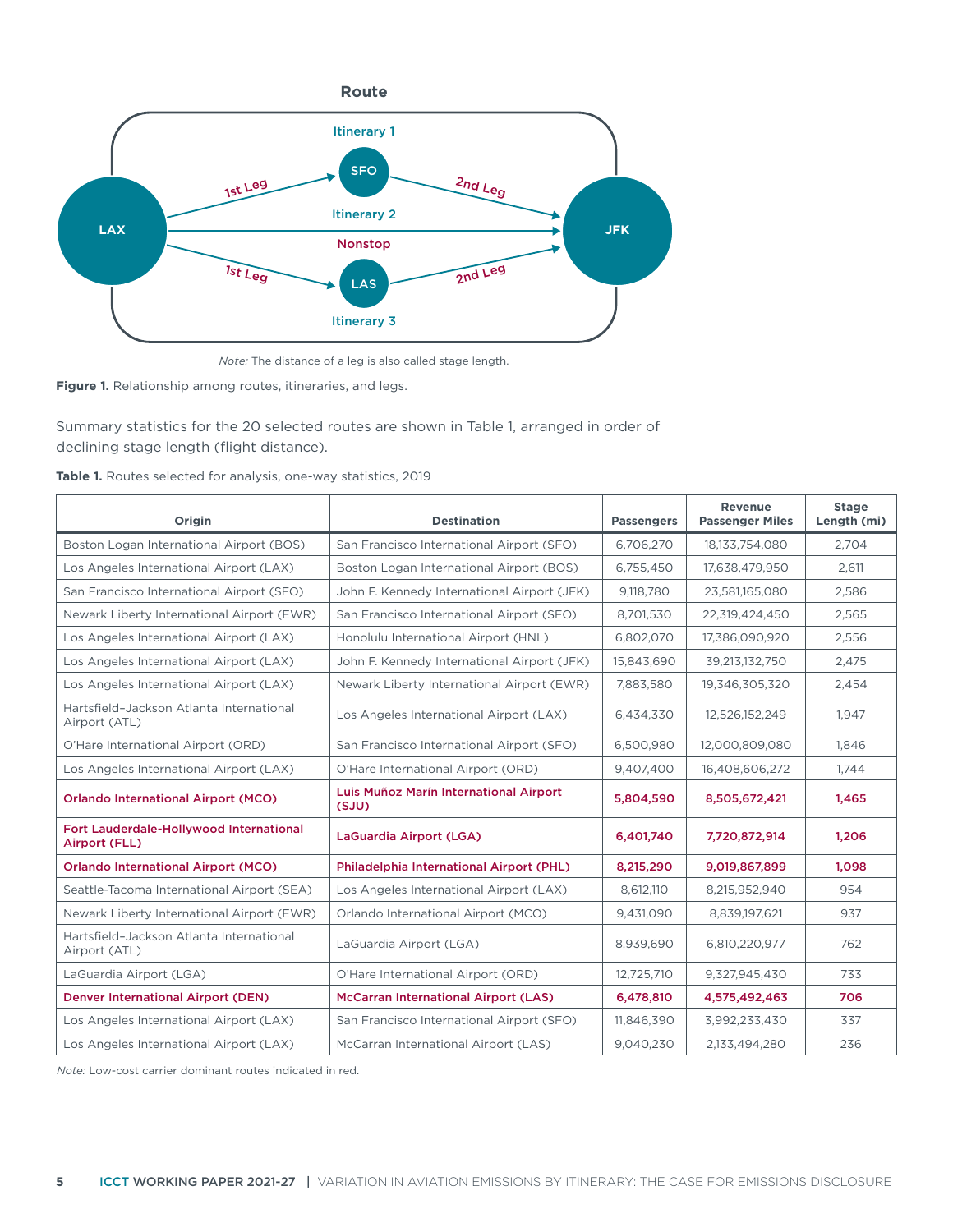

*Note:* The distance of a leg is also called stage length.

**Figure 1.** Relationship among routes, itineraries, and legs.

Summary statistics for the 20 selected routes are shown in Table 1, arranged in order of declining stage length (flight distance).

|  |  |  |  |  |  |  | Table 1. Routes selected for analysis, one-way statistics, 2019 |  |
|--|--|--|--|--|--|--|-----------------------------------------------------------------|--|
|--|--|--|--|--|--|--|-----------------------------------------------------------------|--|

| Origin                                                    | <b>Destination</b>                              | <b>Passengers</b> | <b>Revenue</b><br><b>Passenger Miles</b> | <b>Stage</b><br>Length (mi) |
|-----------------------------------------------------------|-------------------------------------------------|-------------------|------------------------------------------|-----------------------------|
| Boston Logan International Airport (BOS)                  | San Francisco International Airport (SFO)       | 6,706,270         | 18,133,754,080                           | 2,704                       |
| Los Angeles International Airport (LAX)                   | Boston Logan International Airport (BOS)        | 6,755,450         | 17,638,479,950                           | 2,611                       |
| San Francisco International Airport (SFO)                 | John F. Kennedy International Airport (JFK)     | 9,118,780         | 23,581,165,080                           | 2,586                       |
| Newark Liberty International Airport (EWR)                | San Francisco International Airport (SFO)       | 8,701,530         | 22,319,424,450                           | 2,565                       |
| Los Angeles International Airport (LAX)                   | Honolulu International Airport (HNL)            | 6,802,070         | 17,386,090,920                           | 2,556                       |
| Los Angeles International Airport (LAX)                   | John F. Kennedy International Airport (JFK)     | 15,843,690        | 39,213,132,750                           | 2,475                       |
| Los Angeles International Airport (LAX)                   | Newark Liberty International Airport (EWR)      | 7,883,580         | 19,346,305,320                           | 2,454                       |
| Hartsfield-Jackson Atlanta International<br>Airport (ATL) | Los Angeles International Airport (LAX)         | 6,434,330         | 12,526,152,249                           | 1.947                       |
| O'Hare International Airport (ORD)                        | San Francisco International Airport (SFO)       | 6,500,980         | 12,000,809,080                           | 1.846                       |
| Los Angeles International Airport (LAX)                   | O'Hare International Airport (ORD)              | 9,407,400         | 16,408,606,272                           | 1.744                       |
| <b>Orlando International Airport (MCO)</b>                | Luis Muñoz Marín International Airport<br>(SJU) | 5,804,590         | 8,505,672,421                            | 1,465                       |
| Fort Lauderdale-Hollywood International<br>Airport (FLL)  | LaGuardia Airport (LGA)                         | 6,401,740         | 7,720,872,914                            | 1,206                       |
| <b>Orlando International Airport (MCO)</b>                | Philadelphia International Airport (PHL)        | 8,215,290         | 9,019,867,899                            | 1,098                       |
| Seattle-Tacoma International Airport (SEA)                | Los Angeles International Airport (LAX)         | 8,612,110         | 8,215,952,940                            | 954                         |
| Newark Liberty International Airport (EWR)                | Orlando International Airport (MCO)             | 9.431.090         | 8,839,197,621                            | 937                         |
| Hartsfield-Jackson Atlanta International<br>Airport (ATL) | LaGuardia Airport (LGA)                         | 8,939,690         | 6,810,220,977                            | 762                         |
| LaGuardia Airport (LGA)                                   | O'Hare International Airport (ORD)              | 12,725,710        | 9,327,945,430                            | 733                         |
| <b>Denver International Airport (DEN)</b>                 | <b>McCarran International Airport (LAS)</b>     | 6,478,810         | 4,575,492,463                            | 706                         |
| Los Angeles International Airport (LAX)                   | San Francisco International Airport (SFO)       | 11,846,390        | 3,992,233,430                            | 337                         |
| Los Angeles International Airport (LAX)                   | McCarran International Airport (LAS)            | 9.040.230         | 2.133.494.280                            | 236                         |

*Note:* Low-cost carrier dominant routes indicated in red.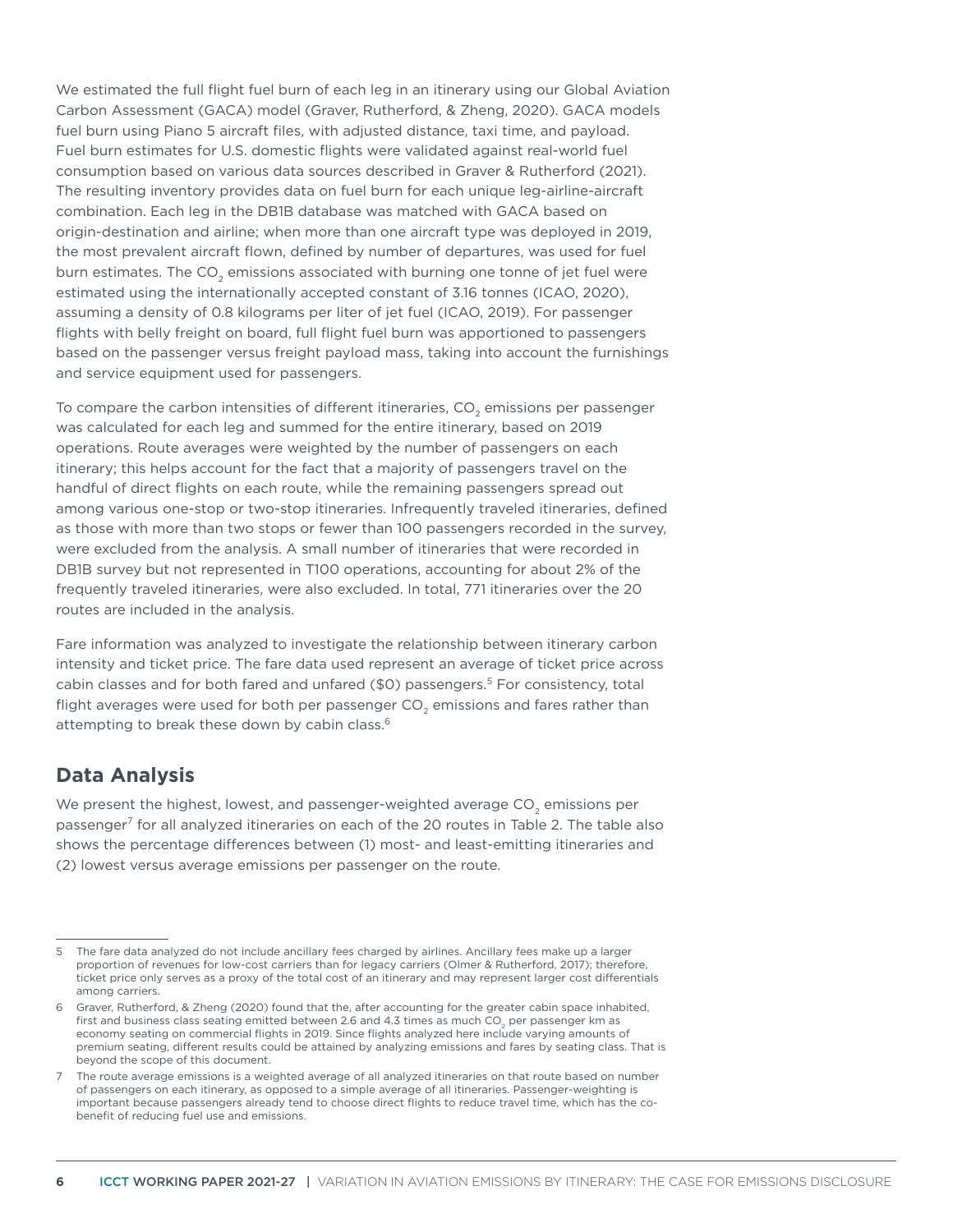We estimated the full flight fuel burn of each leg in an itinerary using our Global Aviation Carbon Assessment (GACA) model (Graver, Rutherford, & Zheng, 2020). GACA models fuel burn using Piano 5 aircraft files, with adjusted distance, taxi time, and payload. Fuel burn estimates for U.S. domestic flights were validated against real-world fuel consumption based on various data sources described in Graver & Rutherford (2021). The resulting inventory provides data on fuel burn for each unique leg-airline-aircraft combination. Each leg in the DB1B database was matched with GACA based on origin-destination and airline; when more than one aircraft type was deployed in 2019, the most prevalent aircraft flown, defined by number of departures, was used for fuel burn estimates. The CO<sub>2</sub> emissions associated with burning one tonne of jet fuel were estimated using the internationally accepted constant of 3.16 tonnes (ICAO, 2020), assuming a density of 0.8 kilograms per liter of jet fuel (ICAO, 2019). For passenger flights with belly freight on board, full flight fuel burn was apportioned to passengers based on the passenger versus freight payload mass, taking into account the furnishings and service equipment used for passengers.

To compare the carbon intensities of different itineraries,  $CO<sub>2</sub>$  emissions per passenger was calculated for each leg and summed for the entire itinerary, based on 2019 operations. Route averages were weighted by the number of passengers on each itinerary; this helps account for the fact that a majority of passengers travel on the handful of direct flights on each route, while the remaining passengers spread out among various one-stop or two-stop itineraries. Infrequently traveled itineraries, defined as those with more than two stops or fewer than 100 passengers recorded in the survey, were excluded from the analysis. A small number of itineraries that were recorded in DB1B survey but not represented in T100 operations, accounting for about 2% of the frequently traveled itineraries, were also excluded. In total, 771 itineraries over the 20 routes are included in the analysis.

Fare information was analyzed to investigate the relationship between itinerary carbon intensity and ticket price. The fare data used represent an average of ticket price across cabin classes and for both fared and unfared (\$0) passengers.<sup>5</sup> For consistency, total flight averages were used for both per passenger CO<sub>2</sub> emissions and fares rather than attempting to break these down by cabin class.<sup>6</sup>

## **Data Analysis**

We present the highest, lowest, and passenger-weighted average CO<sub>2</sub> emissions per passenger7 for all analyzed itineraries on each of the 20 routes in Table 2. The table also shows the percentage differences between (1) most- and least-emitting itineraries and (2) lowest versus average emissions per passenger on the route.

<sup>5</sup> The fare data analyzed do not include ancillary fees charged by airlines. Ancillary fees make up a larger proportion of revenues for low-cost carriers than for legacy carriers (Olmer & Rutherford, 2017); therefore, ticket price only serves as a proxy of the total cost of an itinerary and may represent larger cost differentials among carriers.

<sup>6</sup> Graver, Rutherford, & Zheng (2020) found that the, after accounting for the greater cabin space inhabited, first and business class seating emitted between 2.6 and 4.3 times as much CO<sub>2</sub> per passenger km as economy seating on commercial flights in 2019. Since flights analyzed here include varying amounts of premium seating, different results could be attained by analyzing emissions and fares by seating class. That is beyond the scope of this document.

<sup>7</sup> The route average emissions is a weighted average of all analyzed itineraries on that route based on number of passengers on each itinerary, as opposed to a simple average of all itineraries. Passenger-weighting is important because passengers already tend to choose direct flights to reduce travel time, which has the cobenefit of reducing fuel use and emissions.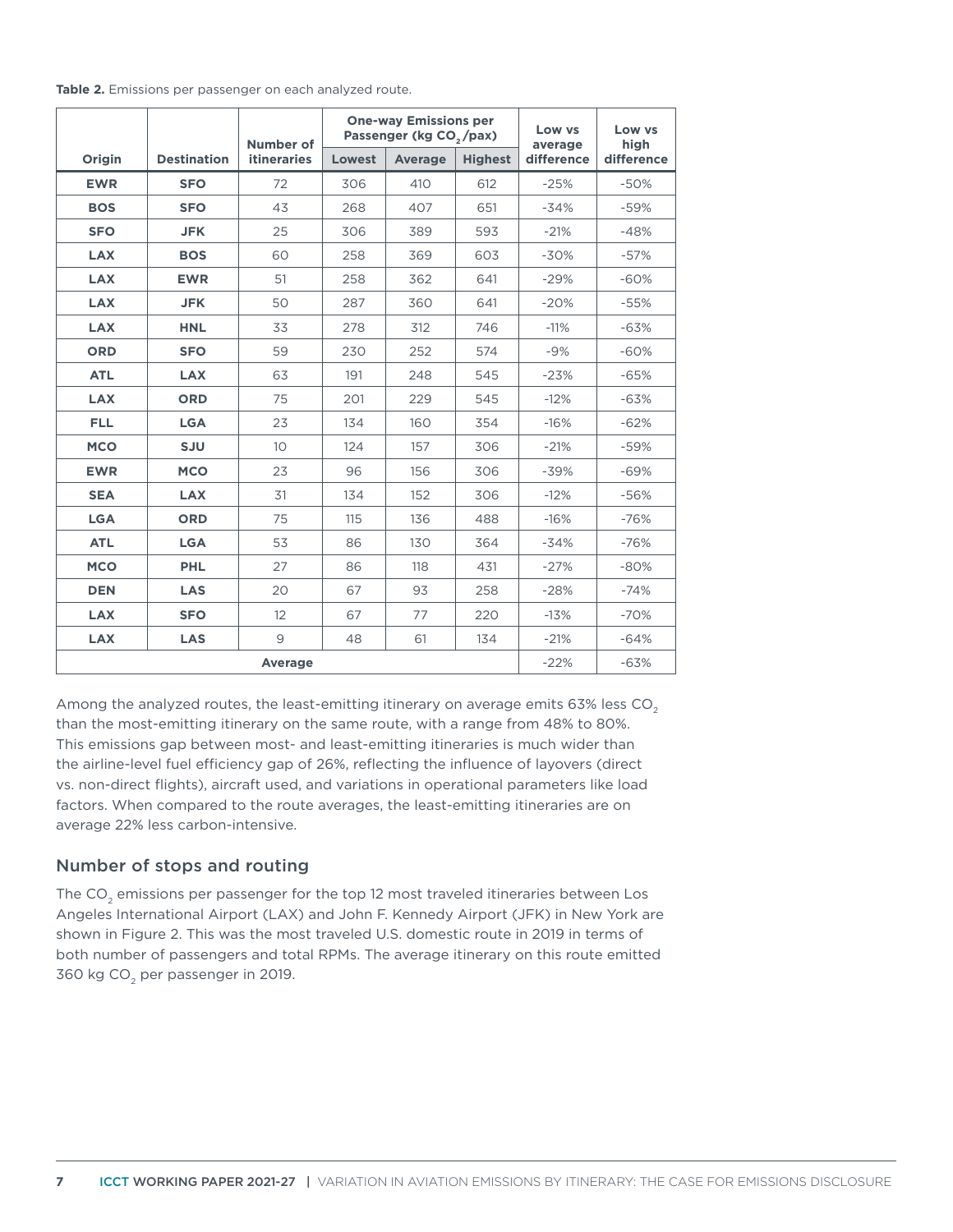|  |  | Table 2. Emissions per passenger on each analyzed route. |
|--|--|----------------------------------------------------------|
|--|--|----------------------------------------------------------|

|            |                    | Number of          | <b>One-way Emissions per</b><br>Passenger (kg CO <sub>2</sub> /pax) |                |     | Low vs<br>average | Low vs<br>high   |  |
|------------|--------------------|--------------------|---------------------------------------------------------------------|----------------|-----|-------------------|------------------|--|
| Origin     | <b>Destination</b> | <b>itineraries</b> | Lowest                                                              | <b>Average</b> |     | difference        | difference       |  |
| <b>EWR</b> | <b>SFO</b>         | 72                 | 306                                                                 | 410            | 612 | $-25%$            | $-50%$           |  |
| <b>BOS</b> | <b>SFO</b>         | 43                 | 268                                                                 | 407            | 651 | $-34%$            | $-59%$           |  |
| <b>SFO</b> | <b>JFK</b>         | 25                 | 306                                                                 | 389            | 593 | $-21%$            | $-48%$           |  |
| <b>LAX</b> | <b>BOS</b>         | 60                 | 258                                                                 | 369            | 603 | $-30%$            | $-57%$           |  |
| <b>LAX</b> | <b>EWR</b>         | 51                 | 258                                                                 | 362            | 641 | $-29%$            | $-60%$           |  |
| <b>LAX</b> | <b>JFK</b>         | 50                 | 287                                                                 | 360            | 641 | $-20%$            | $-55%$           |  |
| <b>LAX</b> | <b>HNL</b>         | 33                 | 312<br>278<br>230<br>252                                            |                | 746 | $-11%$<br>$-9%$   | $-63%$<br>$-60%$ |  |
| <b>ORD</b> | <b>SFO</b>         | 59                 |                                                                     |                | 574 |                   |                  |  |
| <b>ATL</b> | <b>LAX</b>         | 63                 | 191                                                                 | 248            | 545 | $-23%$            | $-65%$           |  |
| <b>LAX</b> | <b>ORD</b>         | 75                 | 201                                                                 | 229            | 545 | $-12%$            | $-63%$           |  |
| <b>FLL</b> | <b>LGA</b>         | 23                 | 134                                                                 | 160            | 354 | $-16%$            | $-62%$           |  |
| <b>MCO</b> | <b>SJU</b>         | 10                 | 124                                                                 | 157            | 306 | $-21%$            | $-59%$           |  |
| <b>EWR</b> | <b>MCO</b>         | 23                 | 96                                                                  | 156            | 306 | $-39%$            | $-69%$           |  |
| <b>SEA</b> | <b>LAX</b>         | 31                 | 134                                                                 | 152            | 306 | $-12%$            | $-56%$           |  |
| <b>LGA</b> | <b>ORD</b>         | 75                 | 115                                                                 | 136            | 488 | $-16%$            | $-76%$           |  |
| <b>ATL</b> | <b>LGA</b>         | 53                 | 86                                                                  | 130            | 364 | $-34%$            | $-76%$           |  |
| <b>MCO</b> | <b>PHL</b>         | 27                 | 86                                                                  | 118            | 431 | $-27%$            | $-80%$           |  |
| <b>DEN</b> | <b>LAS</b>         |                    | 67                                                                  | 93             | 258 | $-28%$            | $-74%$           |  |
| <b>LAX</b> | <b>SFO</b>         | 12                 | 67                                                                  | 77             | 220 | $-13%$            | $-70%$           |  |
| <b>LAX</b> | <b>LAS</b>         | $\overline{9}$     | 48                                                                  | 61<br>134      |     |                   | $-64%$           |  |
|            | $-22%$             | $-63%$             |                                                                     |                |     |                   |                  |  |

Among the analyzed routes, the least-emitting itinerary on average emits  $63\%$  less  $CO<sub>2</sub>$ than the most-emitting itinerary on the same route, with a range from 48% to 80%. This emissions gap between most- and least-emitting itineraries is much wider than the airline-level fuel efficiency gap of 26%, reflecting the influence of layovers (direct vs. non-direct flights), aircraft used, and variations in operational parameters like load factors. When compared to the route averages, the least-emitting itineraries are on average 22% less carbon-intensive.

#### Number of stops and routing

The  $CO<sub>2</sub>$  emissions per passenger for the top 12 most traveled itineraries between Los Angeles International Airport (LAX) and John F. Kennedy Airport (JFK) in New York are shown in Figure 2. This was the most traveled U.S. domestic route in 2019 in terms of both number of passengers and total RPMs. The average itinerary on this route emitted 360 kg  $CO<sub>2</sub>$  per passenger in 2019.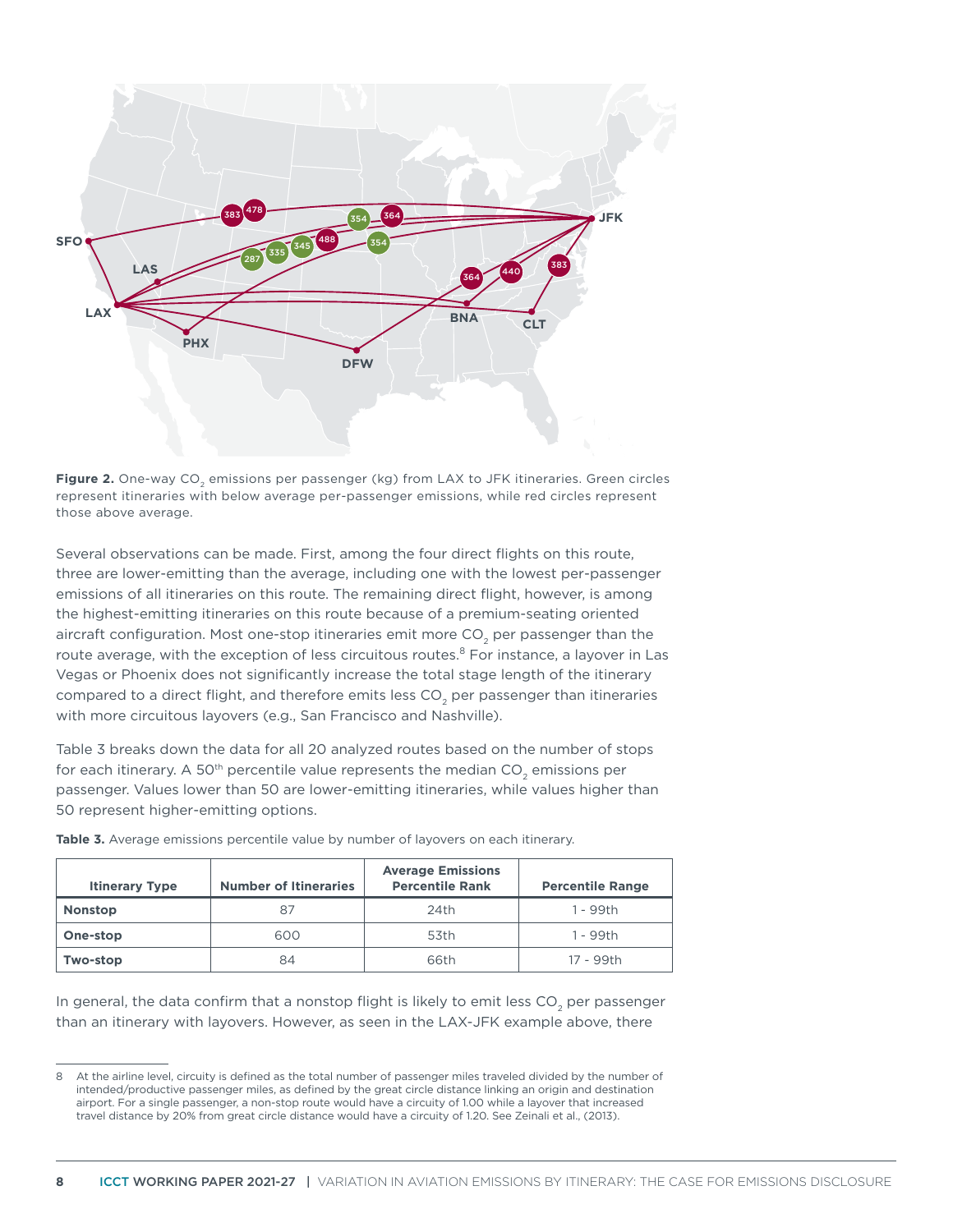

**Figure 2.** One-way CO<sub>2</sub> emissions per passenger (kg) from LAX to JFK itineraries. Green circles represent itineraries with below average per-passenger emissions, while red circles represent those above average.

Several observations can be made. First, among the four direct flights on this route, three are lower-emitting than the average, including one with the lowest per-passenger emissions of all itineraries on this route. The remaining direct flight, however, is among the highest-emitting itineraries on this route because of a premium-seating oriented aircraft configuration. Most one-stop itineraries emit more CO<sub>2</sub> per passenger than the route average, with the exception of less circuitous routes.<sup>8</sup> For instance, a layover in Las Vegas or Phoenix does not significantly increase the total stage length of the itinerary compared to a direct flight, and therefore emits less CO<sub>2</sub> per passenger than itineraries with more circuitous layovers (e.g., San Francisco and Nashville).

Table 3 breaks down the data for all 20 analyzed routes based on the number of stops for each itinerary. A 50<sup>th</sup> percentile value represents the median  $CO<sub>2</sub>$  emissions per passenger. Values lower than 50 are lower-emitting itineraries, while values higher than 50 represent higher-emitting options.

| <b>Itinerary Type</b> | <b>Number of Itineraries</b> | <b>Average Emissions</b><br><b>Percentile Rank</b> | <b>Percentile Range</b> |  |  |
|-----------------------|------------------------------|----------------------------------------------------|-------------------------|--|--|
| <b>Nonstop</b>        | 87                           | 24th                                               | 1 - 99th                |  |  |
| One-stop              | 600                          | 53th                                               | 1 - 99th                |  |  |
| Two-stop              | 84                           | 66th                                               | 17 - 99th               |  |  |

**Table 3.** Average emissions percentile value by number of layovers on each itinerary.

In general, the data confirm that a nonstop flight is likely to emit less CO<sub>2</sub> per passenger than an itinerary with layovers. However, as seen in the LAX-JFK example above, there

<sup>8</sup> At the airline level, circuity is defined as the total number of passenger miles traveled divided by the number of intended/productive passenger miles, as defined by the great circle distance linking an origin and destination airport. For a single passenger, a non-stop route would have a circuity of 1.00 while a layover that increased travel distance by 20% from great circle distance would have a circuity of 1.20. See Zeinali et al., (2013).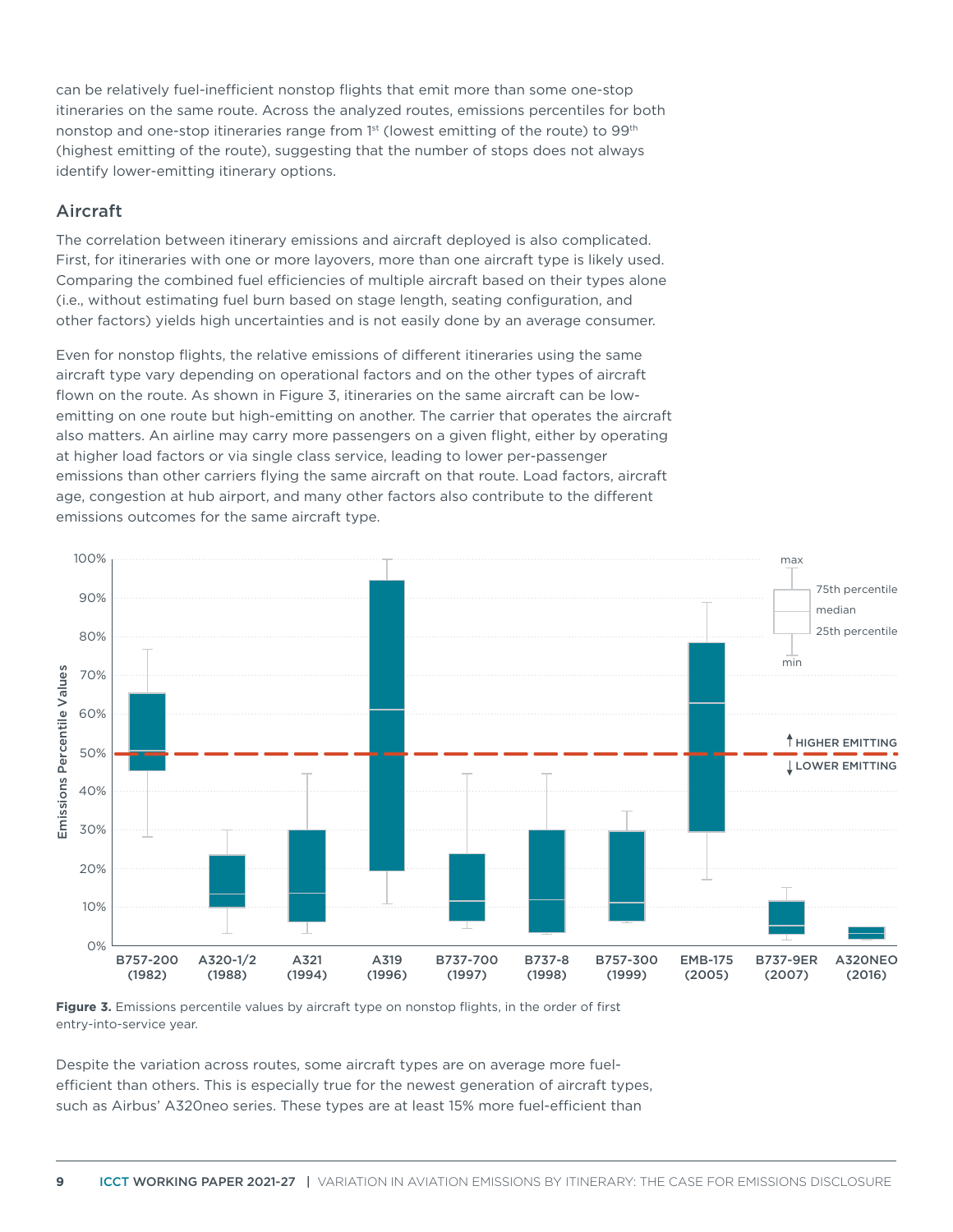can be relatively fuel-inefficient nonstop flights that emit more than some one-stop itineraries on the same route. Across the analyzed routes, emissions percentiles for both nonstop and one-stop itineraries range from  $1<sup>st</sup>$  (lowest emitting of the route) to 99<sup>th</sup> (highest emitting of the route), suggesting that the number of stops does not always identify lower-emitting itinerary options.

#### Aircraft

The correlation between itinerary emissions and aircraft deployed is also complicated. First, for itineraries with one or more layovers, more than one aircraft type is likely used. Comparing the combined fuel efficiencies of multiple aircraft based on their types alone (i.e., without estimating fuel burn based on stage length, seating configuration, and other factors) yields high uncertainties and is not easily done by an average consumer.

Even for nonstop flights, the relative emissions of different itineraries using the same aircraft type vary depending on operational factors and on the other types of aircraft flown on the route. As shown in Figure 3, itineraries on the same aircraft can be lowemitting on one route but high-emitting on another. The carrier that operates the aircraft also matters. An airline may carry more passengers on a given flight, either by operating at higher load factors or via single class service, leading to lower per-passenger emissions than other carriers flying the same aircraft on that route. Load factors, aircraft age, congestion at hub airport, and many other factors also contribute to the different emissions outcomes for the same aircraft type.



**Figure 3.** Emissions percentile values by aircraft type on nonstop flights, in the order of first entry-into-service year.

Despite the variation across routes, some aircraft types are on average more fuelefficient than others. This is especially true for the newest generation of aircraft types, such as Airbus' A320neo series. These types are at least 15% more fuel-efficient than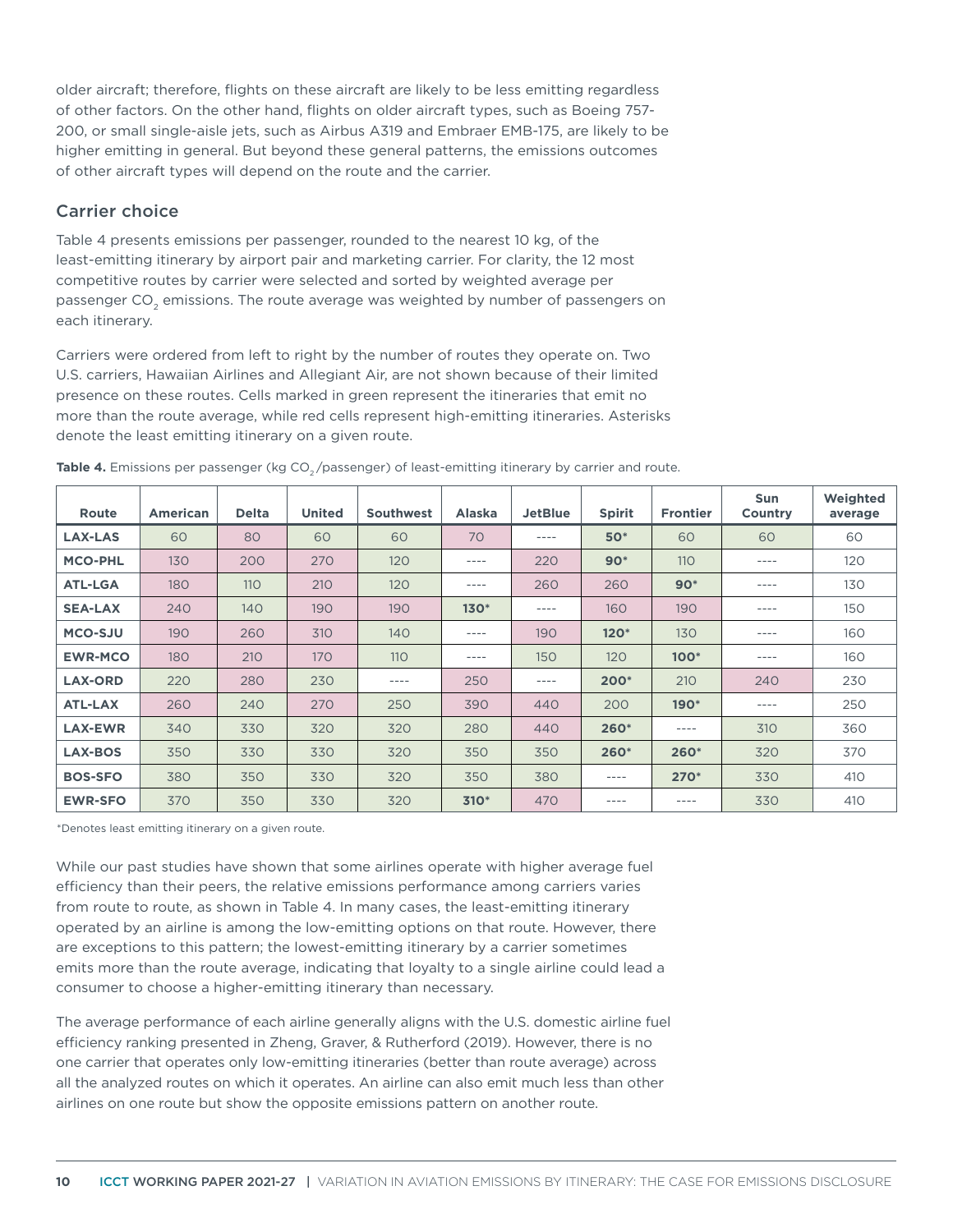older aircraft; therefore, flights on these aircraft are likely to be less emitting regardless of other factors. On the other hand, flights on older aircraft types, such as Boeing 757- 200, or small single-aisle jets, such as Airbus A319 and Embraer EMB-175, are likely to be higher emitting in general. But beyond these general patterns, the emissions outcomes of other aircraft types will depend on the route and the carrier.

#### Carrier choice

Table 4 presents emissions per passenger, rounded to the nearest 10 kg, of the least-emitting itinerary by airport pair and marketing carrier. For clarity, the 12 most competitive routes by carrier were selected and sorted by weighted average per passenger CO<sub>2</sub> emissions. The route average was weighted by number of passengers on each itinerary.

Carriers were ordered from left to right by the number of routes they operate on. Two U.S. carriers, Hawaiian Airlines and Allegiant Air, are not shown because of their limited presence on these routes. Cells marked in green represent the itineraries that emit no more than the route average, while red cells represent high-emitting itineraries. Asterisks denote the least emitting itinerary on a given route.

| Route          | <b>American</b> | <b>Delta</b> | <b>United</b> | Southwest | <b>Alaska</b> | <b>JetBlue</b> | <b>Spirit</b> | <b>Frontier</b> | <b>Sun</b><br>Country | Weighted<br>average |
|----------------|-----------------|--------------|---------------|-----------|---------------|----------------|---------------|-----------------|-----------------------|---------------------|
| <b>LAX-LAS</b> | 60              | 80           | 60            | 60        | 70            | $---$          | <b>50*</b>    | 60              | 60                    | 60                  |
| <b>MCO-PHL</b> | 130             | 200          | 270           | 120       | $---$         | 220            | $90*$         | 110             | $---$                 | 120                 |
| <b>ATL-LGA</b> | 180             | 110          | 210           | 120       | ----          | 260            | 260           | $90*$           | $---$                 | 130                 |
| <b>SEA-LAX</b> | 240             | 140          | 190           | 190       | $130*$        | $---$          | 160           | 190             | $---$                 | 150                 |
| <b>MCO-SJU</b> | 190             | 260          | 310           | 140       | ----          | 190            | $120*$        | 130             | $---$                 | 160                 |
| <b>EWR-MCO</b> | 180             | 210          | 170           | 110       | $---$         | 150            | 120           | $100*$          | ----                  | 160                 |
| <b>LAX-ORD</b> | 220             | 280          | 230           | $- - - -$ | 250           | $- - - -$      | 200*          | 210             | 240                   | 230                 |
| <b>ATL-LAX</b> | 260             | 240          | 270           | 250       | 390           | 440            | 200           | $190*$          | $- - - -$             | 250                 |
| <b>LAX-EWR</b> | 340             | 330          | 320           | 320       | 280           | 440            | 260*          | ----            | 310                   | 360                 |
| <b>LAX-BOS</b> | 350             | 330          | 330           | 320       | 350           | 350            | 260*          | 260*            | 320                   | 370                 |
| <b>BOS-SFO</b> | 380             | 350          | 330           | 320       | 350           | 380            | $---$         | $270*$          | 330                   | 410                 |
| <b>EWR-SFO</b> | 370             | 350          | 330           | 320       | $310*$        | 470            | $- - - -$     | ----            | 330                   | 410                 |

Table 4. Emissions per passenger (kg CO<sub>2</sub>/passenger) of least-emitting itinerary by carrier and route.

\*Denotes least emitting itinerary on a given route.

While our past studies have shown that some airlines operate with higher average fuel efficiency than their peers, the relative emissions performance among carriers varies from route to route, as shown in Table 4. In many cases, the least-emitting itinerary operated by an airline is among the low-emitting options on that route. However, there are exceptions to this pattern; the lowest-emitting itinerary by a carrier sometimes emits more than the route average, indicating that loyalty to a single airline could lead a consumer to choose a higher-emitting itinerary than necessary.

The average performance of each airline generally aligns with the U.S. domestic airline fuel efficiency ranking presented in Zheng, Graver, & Rutherford (2019). However, there is no one carrier that operates only low-emitting itineraries (better than route average) across all the analyzed routes on which it operates. An airline can also emit much less than other airlines on one route but show the opposite emissions pattern on another route.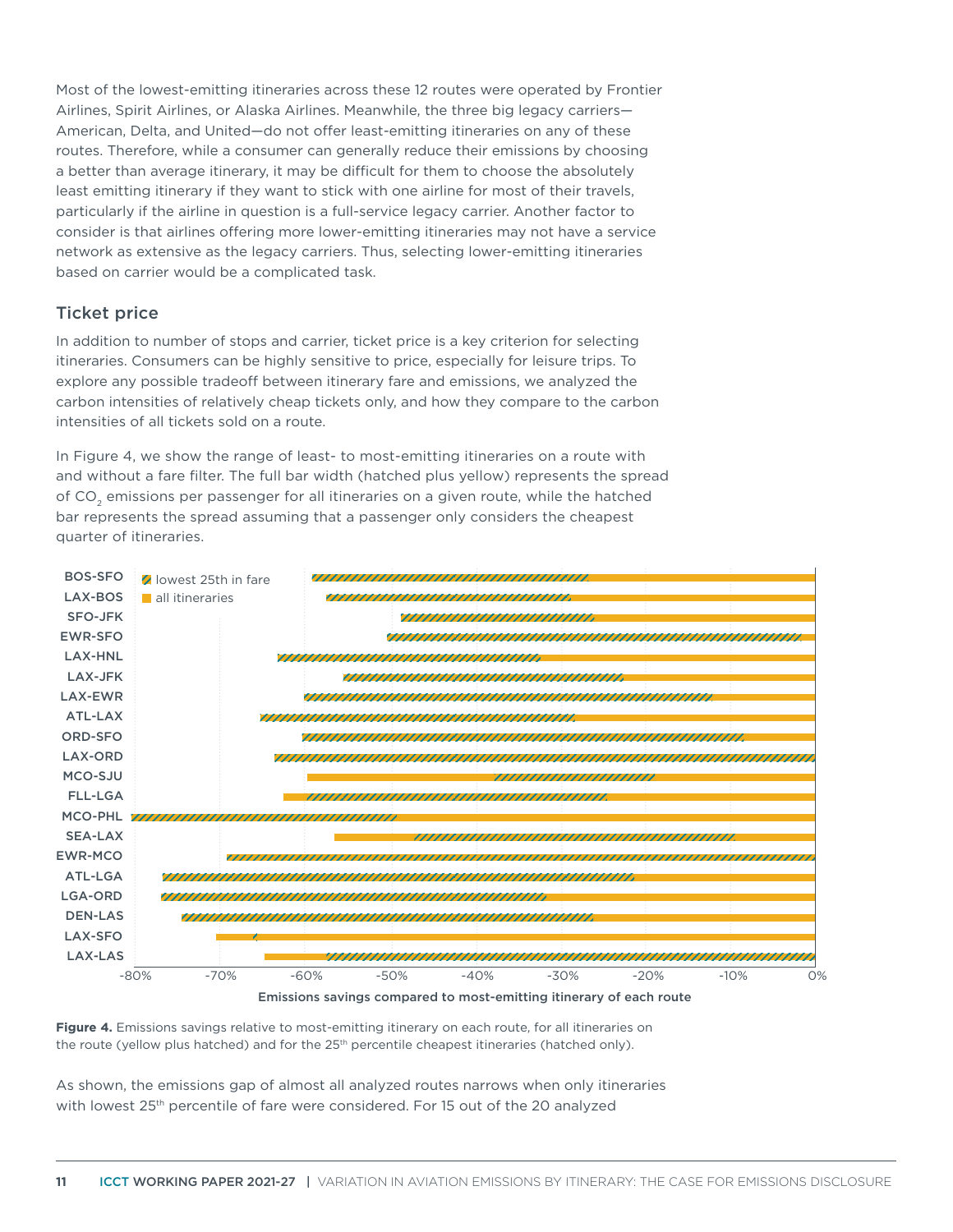Most of the lowest-emitting itineraries across these 12 routes were operated by Frontier Airlines, Spirit Airlines, or Alaska Airlines. Meanwhile, the three big legacy carriers— American, Delta, and United—do not offer least-emitting itineraries on any of these routes. Therefore, while a consumer can generally reduce their emissions by choosing a better than average itinerary, it may be difficult for them to choose the absolutely least emitting itinerary if they want to stick with one airline for most of their travels, particularly if the airline in question is a full-service legacy carrier. Another factor to consider is that airlines offering more lower-emitting itineraries may not have a service network as extensive as the legacy carriers. Thus, selecting lower-emitting itineraries based on carrier would be a complicated task.

#### Ticket price

In addition to number of stops and carrier, ticket price is a key criterion for selecting itineraries. Consumers can be highly sensitive to price, especially for leisure trips. To explore any possible tradeoff between itinerary fare and emissions, we analyzed the carbon intensities of relatively cheap tickets only, and how they compare to the carbon intensities of all tickets sold on a route.

In Figure 4, we show the range of least- to most-emitting itineraries on a route with and without a fare filter. The full bar width (hatched plus yellow) represents the spread of CO<sub>2</sub> emissions per passenger for all itineraries on a given route, while the hatched bar represents the spread assuming that a passenger only considers the cheapest quarter of itineraries.





**Figure 4.** Emissions savings relative to most-emitting itinerary on each route, for all itineraries on the route (yellow plus hatched) and for the 25<sup>th</sup> percentile cheapest itineraries (hatched only).

As shown, the emissions gap of almost all analyzed routes narrows when only itineraries with lowest 25<sup>th</sup> percentile of fare were considered. For 15 out of the 20 analyzed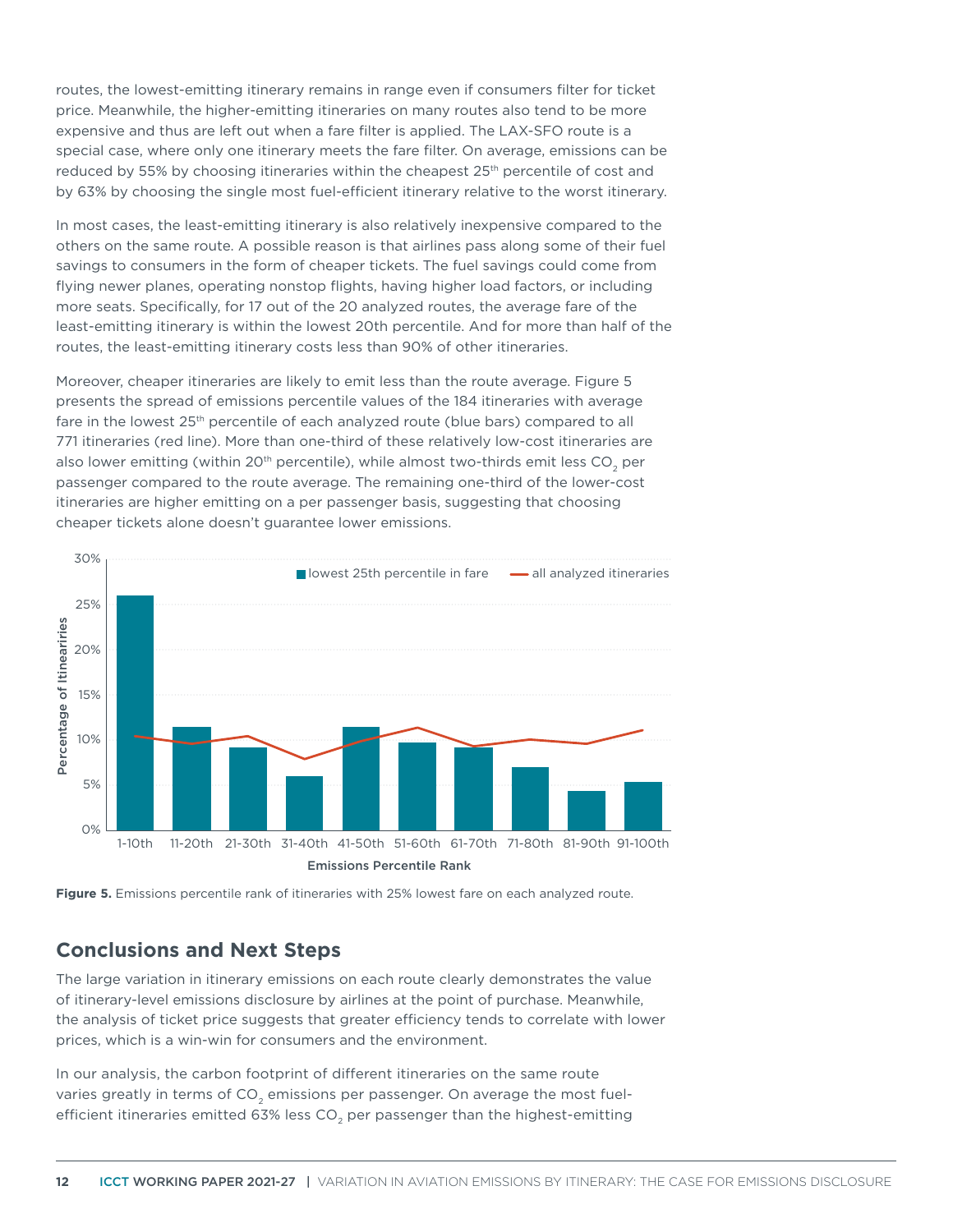routes, the lowest-emitting itinerary remains in range even if consumers filter for ticket price. Meanwhile, the higher-emitting itineraries on many routes also tend to be more expensive and thus are left out when a fare filter is applied. The LAX-SFO route is a special case, where only one itinerary meets the fare filter. On average, emissions can be reduced by 55% by choosing itineraries within the cheapest  $25<sup>th</sup>$  percentile of cost and by 63% by choosing the single most fuel-efficient itinerary relative to the worst itinerary.

In most cases, the least-emitting itinerary is also relatively inexpensive compared to the others on the same route. A possible reason is that airlines pass along some of their fuel savings to consumers in the form of cheaper tickets. The fuel savings could come from flying newer planes, operating nonstop flights, having higher load factors, or including more seats. Specifically, for 17 out of the 20 analyzed routes, the average fare of the least-emitting itinerary is within the lowest 20th percentile. And for more than half of the routes, the least-emitting itinerary costs less than 90% of other itineraries.

Moreover, cheaper itineraries are likely to emit less than the route average. Figure 5 presents the spread of emissions percentile values of the 184 itineraries with average fare in the lowest 25<sup>th</sup> percentile of each analyzed route (blue bars) compared to all 771 itineraries (red line). More than one-third of these relatively low-cost itineraries are also lower emitting (within 20<sup>th</sup> percentile), while almost two-thirds emit less CO<sub>2</sub> per passenger compared to the route average. The remaining one-third of the lower-cost itineraries are higher emitting on a per passenger basis, suggesting that choosing cheaper tickets alone doesn't guarantee lower emissions.





# **Conclusions and Next Steps**

The large variation in itinerary emissions on each route clearly demonstrates the value of itinerary-level emissions disclosure by airlines at the point of purchase. Meanwhile, the analysis of ticket price suggests that greater efficiency tends to correlate with lower prices, which is a win-win for consumers and the environment.

In our analysis, the carbon footprint of different itineraries on the same route varies greatly in terms of CO<sub>2</sub> emissions per passenger. On average the most fuelefficient itineraries emitted 63% less CO<sub>2</sub> per passenger than the highest-emitting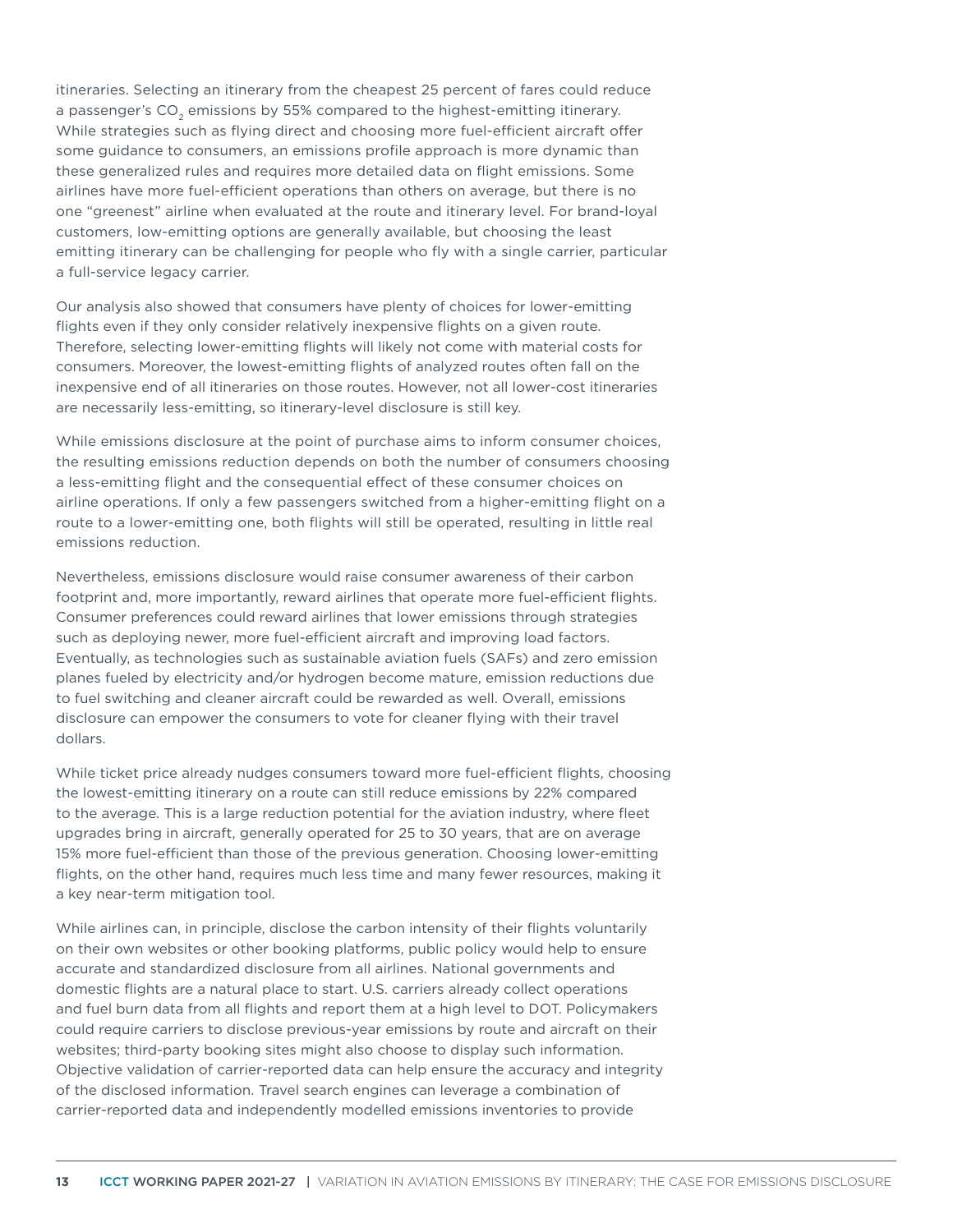itineraries. Selecting an itinerary from the cheapest 25 percent of fares could reduce a passenger's CO<sub>2</sub> emissions by 55% compared to the highest-emitting itinerary. While strategies such as flying direct and choosing more fuel-efficient aircraft offer some guidance to consumers, an emissions profile approach is more dynamic than these generalized rules and requires more detailed data on flight emissions. Some airlines have more fuel-efficient operations than others on average, but there is no one "greenest" airline when evaluated at the route and itinerary level. For brand-loyal customers, low-emitting options are generally available, but choosing the least emitting itinerary can be challenging for people who fly with a single carrier, particular a full-service legacy carrier.

Our analysis also showed that consumers have plenty of choices for lower-emitting flights even if they only consider relatively inexpensive flights on a given route. Therefore, selecting lower-emitting flights will likely not come with material costs for consumers. Moreover, the lowest-emitting flights of analyzed routes often fall on the inexpensive end of all itineraries on those routes. However, not all lower-cost itineraries are necessarily less-emitting, so itinerary-level disclosure is still key.

While emissions disclosure at the point of purchase aims to inform consumer choices, the resulting emissions reduction depends on both the number of consumers choosing a less-emitting flight and the consequential effect of these consumer choices on airline operations. If only a few passengers switched from a higher-emitting flight on a route to a lower-emitting one, both flights will still be operated, resulting in little real emissions reduction.

Nevertheless, emissions disclosure would raise consumer awareness of their carbon footprint and, more importantly, reward airlines that operate more fuel-efficient flights. Consumer preferences could reward airlines that lower emissions through strategies such as deploying newer, more fuel-efficient aircraft and improving load factors. Eventually, as technologies such as sustainable aviation fuels (SAFs) and zero emission planes fueled by electricity and/or hydrogen become mature, emission reductions due to fuel switching and cleaner aircraft could be rewarded as well. Overall, emissions disclosure can empower the consumers to vote for cleaner flying with their travel dollars.

While ticket price already nudges consumers toward more fuel-efficient flights, choosing the lowest-emitting itinerary on a route can still reduce emissions by 22% compared to the average. This is a large reduction potential for the aviation industry, where fleet upgrades bring in aircraft, generally operated for 25 to 30 years, that are on average 15% more fuel-efficient than those of the previous generation. Choosing lower-emitting flights, on the other hand, requires much less time and many fewer resources, making it a key near-term mitigation tool.

While airlines can, in principle, disclose the carbon intensity of their flights voluntarily on their own websites or other booking platforms, public policy would help to ensure accurate and standardized disclosure from all airlines. National governments and domestic flights are a natural place to start. U.S. carriers already collect operations and fuel burn data from all flights and report them at a high level to DOT. Policymakers could require carriers to disclose previous-year emissions by route and aircraft on their websites; third-party booking sites might also choose to display such information. Objective validation of carrier-reported data can help ensure the accuracy and integrity of the disclosed information. Travel search engines can leverage a combination of carrier-reported data and independently modelled emissions inventories to provide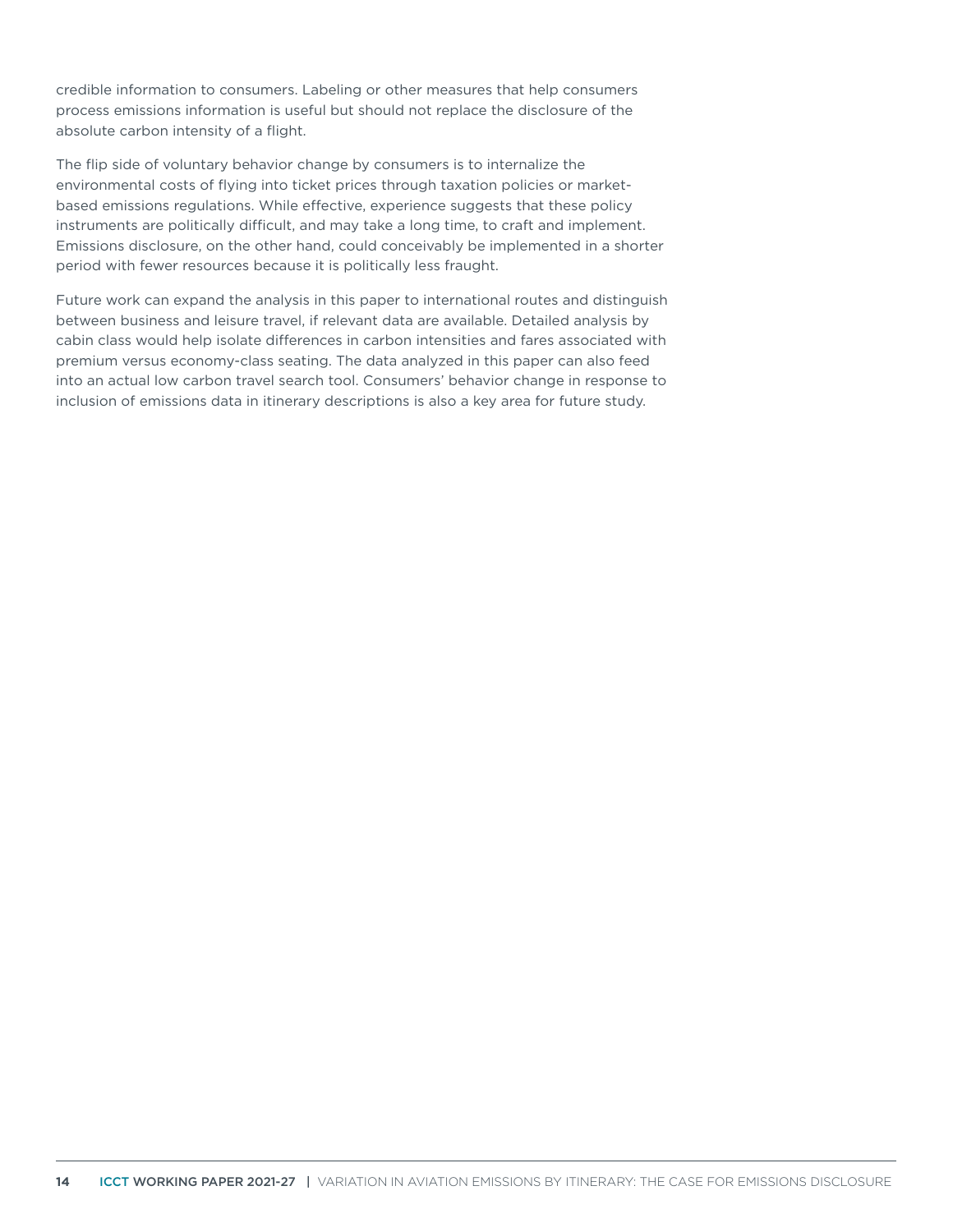credible information to consumers. Labeling or other measures that help consumers process emissions information is useful but should not replace the disclosure of the absolute carbon intensity of a flight.

The flip side of voluntary behavior change by consumers is to internalize the environmental costs of flying into ticket prices through taxation policies or marketbased emissions regulations. While effective, experience suggests that these policy instruments are politically difficult, and may take a long time, to craft and implement. Emissions disclosure, on the other hand, could conceivably be implemented in a shorter period with fewer resources because it is politically less fraught.

Future work can expand the analysis in this paper to international routes and distinguish between business and leisure travel, if relevant data are available. Detailed analysis by cabin class would help isolate differences in carbon intensities and fares associated with premium versus economy-class seating. The data analyzed in this paper can also feed into an actual low carbon travel search tool. Consumers' behavior change in response to inclusion of emissions data in itinerary descriptions is also a key area for future study.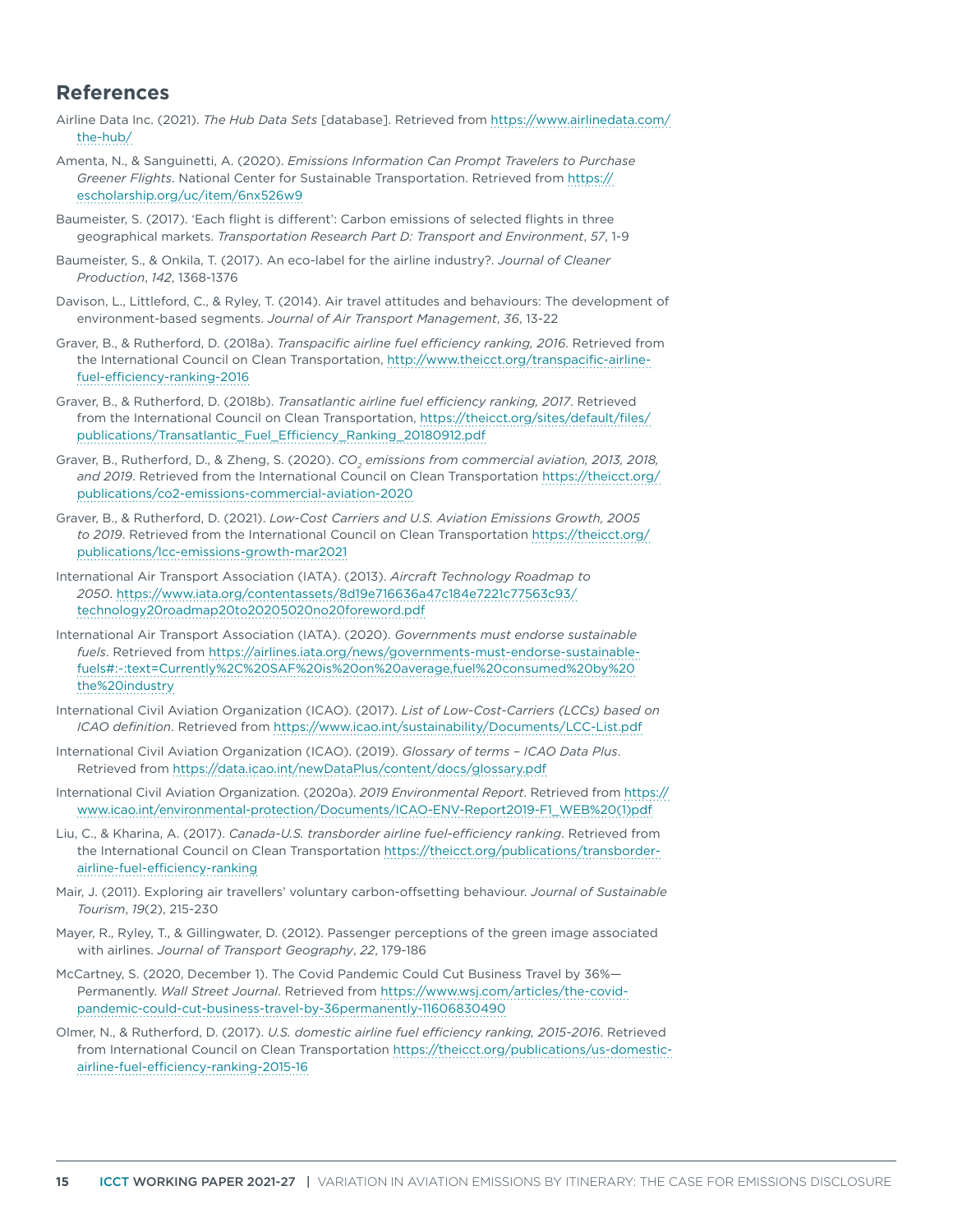## **References**

- Airline Data Inc. (2021). *The Hub Data Sets* [database]. Retrieved from [https://www.airlinedata.com/](https://www.airlinedata.com/the-hub/) [the-hub/](https://www.airlinedata.com/the-hub/)
- Amenta, N., & Sanguinetti, A. (2020). *Emissions Information Can Prompt Travelers to Purchase Greener Flights*. National Center for Sustainable Transportation. Retrieved from [https://](https://escholarship.org/uc/item/6nx526w9) [escholarship.org/uc/item/6nx526w9](https://escholarship.org/uc/item/6nx526w9)
- Baumeister, S. (2017). 'Each flight is different': Carbon emissions of selected flights in three geographical markets. *Transportation Research Part D: Transport and Environment*, *57*, 1-9
- Baumeister, S., & Onkila, T. (2017). An eco-label for the airline industry?. *Journal of Cleaner Production*, *142*, 1368-1376
- Davison, L., Littleford, C., & Ryley, T. (2014). Air travel attitudes and behaviours: The development of environment-based segments. *Journal of Air Transport Management*, *36*, 13-22
- Graver, B., & Rutherford, D. (2018a). *Transpacific airline fuel efficiency ranking, 2016*. Retrieved from the International Council on Clean Transportation, [http://www.theicct.org/transpacific-airline](http://www.theicct.org/transpacific-airline-fuel-efficiency-ranking-2016)[fuel-efficiency-ranking-2016](http://www.theicct.org/transpacific-airline-fuel-efficiency-ranking-2016)
- Graver, B., & Rutherford, D. (2018b). *Transatlantic airline fuel efficiency ranking, 2017*. Retrieved from the International Council on Clean Transportation, [https://theicct.org/sites/default/files/](https://theicct.org/sites/default/files/publications/Transatlantic_Fuel_Efficiency_Ranking_20180912.pdf) [publications/Transatlantic\\_Fuel\\_Efficiency\\_Ranking\\_20180912.pdf](https://theicct.org/sites/default/files/publications/Transatlantic_Fuel_Efficiency_Ranking_20180912.pdf)
- Graver, B., Rutherford, D., & Zheng, S. (2020). *CO<sub>2</sub> emissions from commercial aviation, 2013, 2018, and 2019*. Retrieved from the International Council on Clean Transportation [https://theicct.org/](https://theicct.org/publications/co2-emissions-commercial-aviation-2020) [publications/co2-emissions-commercial-aviation-2020](https://theicct.org/publications/co2-emissions-commercial-aviation-2020)
- Graver, B., & Rutherford, D. (2021). *Low-Cost Carriers and U.S. Aviation Emissions Growth, 2005 to 2019*. Retrieved from the International Council on Clean Transportation [https://theicct.org/](https://theicct.org/publications/lcc-emissions-growth-mar2021) [publications/lcc-emissions-growth-mar2021](https://theicct.org/publications/lcc-emissions-growth-mar2021)
- International Air Transport Association (IATA). (2013). *Aircraft Technology Roadmap to 2050*. [https://www.iata.org/contentassets/8d19e716636a47c184e7221c77563c93/](https://www.iata.org/contentassets/8d19e716636a47c184e7221c77563c93/technology20roadmap20to20205020no20foreword.pdf) [technology20roadmap20to20205020no20foreword.pdf](https://www.iata.org/contentassets/8d19e716636a47c184e7221c77563c93/technology20roadmap20to20205020no20foreword.pdf)
- International Air Transport Association (IATA). (2020). *Governments must endorse sustainable fuels*. Retrieved from [https://airlines.iata.org/news/governments-must-endorse-sustainable](https://airlines.iata.org/news/governments-must-endorse-sustainable-fuels#:~:text=Currently%2C%20SAF%20is%20on%20average,fuel%20consumed%20by%20the%20industry)[fuels#:~:text=Currently%2C%20SAF%20is%20on%20average,fuel%20consumed%20by%20](https://airlines.iata.org/news/governments-must-endorse-sustainable-fuels#:~:text=Currently%2C%20SAF%20is%20on%20average,fuel%20consumed%20by%20the%20industry) [the%20industry](https://airlines.iata.org/news/governments-must-endorse-sustainable-fuels#:~:text=Currently%2C%20SAF%20is%20on%20average,fuel%20consumed%20by%20the%20industry)
- International Civil Aviation Organization (ICAO). (2017). *List of Low-Cost-Carriers (LCCs) based on ICAO definition*. Retrieved from <https://www.icao.int/sustainability/Documents/LCC-List.pdf>
- International Civil Aviation Organization (ICAO). (2019). *Glossary of terms ICAO Data Plus*. Retrieved from<https://data.icao.int/newDataPlus/content/docs/glossary.pdf>
- International Civil Aviation Organization. (2020a). *2019 Environmental Report*. Retrieved from [https://](https://www.icao.int/environmental-protection/Documents/ICAO-ENV-Report2019-F1_WEB%20(1)pdf) [www.icao.int/environmental-protection/Documents/ICAO-ENV-Report2019-F1\\_WEB%20\(1\)pdf](https://www.icao.int/environmental-protection/Documents/ICAO-ENV-Report2019-F1_WEB%20(1)pdf)
- Liu, C., & Kharina, A. (2017). *Canada-U.S. transborder airline fuel-efficiency ranking*. Retrieved from the International Council on Clean Transportation [https://theicct.org/publications/transborder](https://theicct.org/publications/transborder-airline-fuel-efficiency-ranking)[airline-fuel-efficiency-ranking](https://theicct.org/publications/transborder-airline-fuel-efficiency-ranking)
- Mair, J. (2011). Exploring air travellers' voluntary carbon-offsetting behaviour. *Journal of Sustainable Tourism*, *19*(2), 215-230
- Mayer, R., Ryley, T., & Gillingwater, D. (2012). Passenger perceptions of the green image associated with airlines. *Journal of Transport Geography*, *22*, 179-186
- McCartney, S. (2020, December 1). The Covid Pandemic Could Cut Business Travel by 36%— Permanently. *Wall Street Journal*. Retrieved from [https://www.wsj.com/articles/the-covid](https://www.wsj.com/articles/the-covid-pandemic-could-cut-business-travel-by-36permanently-11606830490)[pandemic-could-cut-business-travel-by-36permanently-11606830490](https://www.wsj.com/articles/the-covid-pandemic-could-cut-business-travel-by-36permanently-11606830490)
- Olmer, N., & Rutherford, D. (2017). *U.S. domestic airline fuel efficiency ranking, 2015-2016*. Retrieved from International Council on Clean Transportation [https://theicct.org/publications/us-domestic](https://theicct.org/publications/us-domestic-airline-fuel-efficiency-ranking-2015-16)[airline-fuel-efficiency-ranking-2015-16](https://theicct.org/publications/us-domestic-airline-fuel-efficiency-ranking-2015-16)